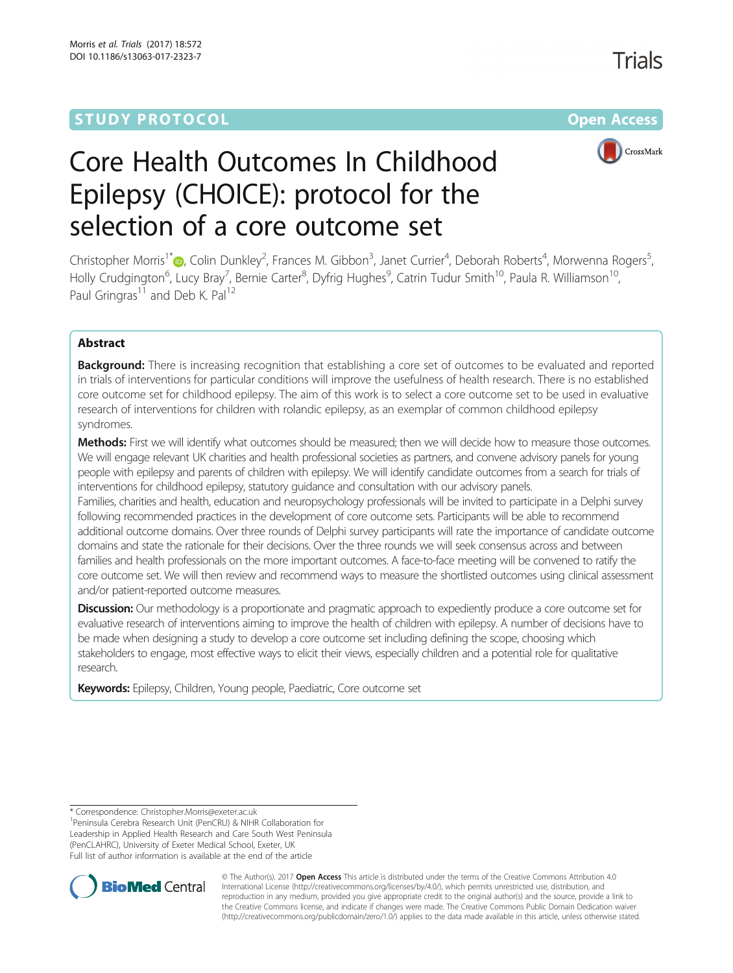# **STUDY PROTOCOL CONSUMING THE RESERVE ACCESS**



# Core Health Outcomes In Childhood Epilepsy (CHOICE): protocol for the selection of a core outcome set

Christopher Morris<sup>1\*</sup>®[,](http://orcid.org/0000-0002-9916-507X) Colin Dunkley<sup>2</sup>, Frances M. Gibbon<sup>3</sup>, Janet Currier<sup>4</sup>, Deborah Roberts<sup>4</sup>, Morwenna Rogers<sup>5</sup> , Holly Crudgington<sup>6</sup>, Lucy Bray<sup>7</sup>, Bernie Carter<sup>8</sup>, Dyfrig Hughes<sup>9</sup>, Catrin Tudur Smith<sup>10</sup>, Paula R. Williamson<sup>10</sup>, Paul Gringras<sup>11</sup> and Deb K. Pal<sup>12</sup>

# Abstract

**Background:** There is increasing recognition that establishing a core set of outcomes to be evaluated and reported in trials of interventions for particular conditions will improve the usefulness of health research. There is no established core outcome set for childhood epilepsy. The aim of this work is to select a core outcome set to be used in evaluative research of interventions for children with rolandic epilepsy, as an exemplar of common childhood epilepsy syndromes.

Methods: First we will identify what outcomes should be measured; then we will decide how to measure those outcomes. We will engage relevant UK charities and health professional societies as partners, and convene advisory panels for young people with epilepsy and parents of children with epilepsy. We will identify candidate outcomes from a search for trials of interventions for childhood epilepsy, statutory guidance and consultation with our advisory panels.

Families, charities and health, education and neuropsychology professionals will be invited to participate in a Delphi survey following recommended practices in the development of core outcome sets. Participants will be able to recommend additional outcome domains. Over three rounds of Delphi survey participants will rate the importance of candidate outcome domains and state the rationale for their decisions. Over the three rounds we will seek consensus across and between families and health professionals on the more important outcomes. A face-to-face meeting will be convened to ratify the core outcome set. We will then review and recommend ways to measure the shortlisted outcomes using clinical assessment and/or patient-reported outcome measures.

Discussion: Our methodology is a proportionate and pragmatic approach to expediently produce a core outcome set for evaluative research of interventions aiming to improve the health of children with epilepsy. A number of decisions have to be made when designing a study to develop a core outcome set including defining the scope, choosing which stakeholders to engage, most effective ways to elicit their views, especially children and a potential role for qualitative research.

Keywords: Epilepsy, Children, Young people, Paediatric, Core outcome set

\* Correspondence: [Christopher.Morris@exeter.ac.uk](mailto:Christopher.Morris@exeter.ac.uk) <sup>1</sup>

Peninsula Cerebra Research Unit (PenCRU) & NIHR Collaboration for Leadership in Applied Health Research and Care South West Peninsula (PenCLAHRC), University of Exeter Medical School, Exeter, UK Full list of author information is available at the end of the article



© The Author(s). 2017 **Open Access** This article is distributed under the terms of the Creative Commons Attribution 4.0 International License [\(http://creativecommons.org/licenses/by/4.0/](http://creativecommons.org/licenses/by/4.0/)), which permits unrestricted use, distribution, and reproduction in any medium, provided you give appropriate credit to the original author(s) and the source, provide a link to the Creative Commons license, and indicate if changes were made. The Creative Commons Public Domain Dedication waiver [\(http://creativecommons.org/publicdomain/zero/1.0/](http://creativecommons.org/publicdomain/zero/1.0/)) applies to the data made available in this article, unless otherwise stated.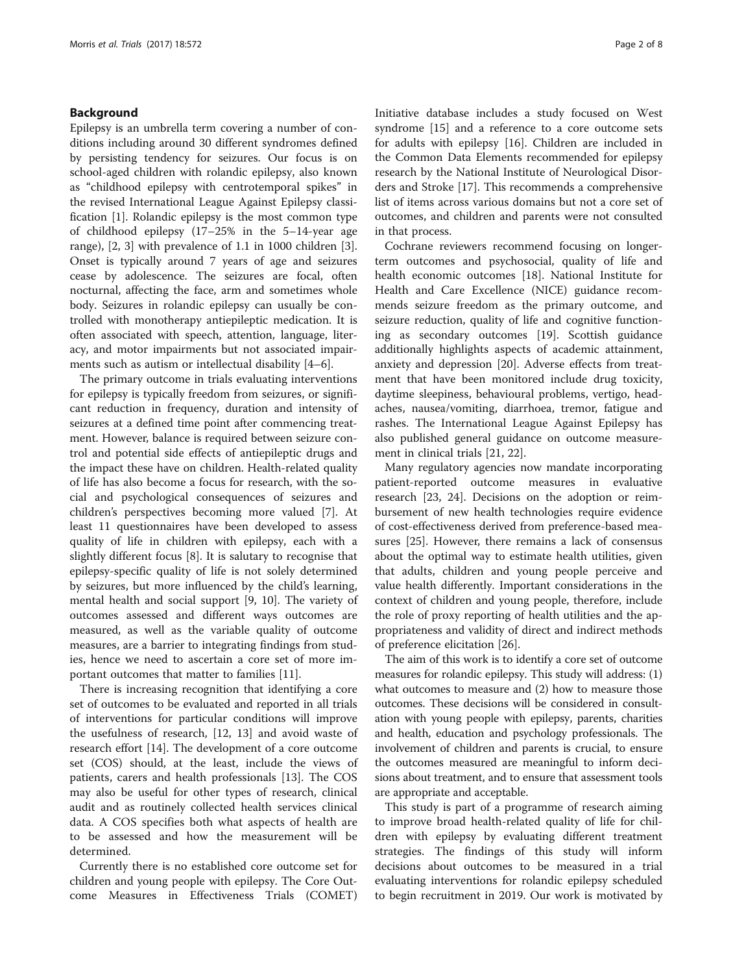### Background

Epilepsy is an umbrella term covering a number of conditions including around 30 different syndromes defined by persisting tendency for seizures. Our focus is on school-aged children with rolandic epilepsy, also known as "childhood epilepsy with centrotemporal spikes" in the revised International League Against Epilepsy classification [[1\]](#page-6-0). Rolandic epilepsy is the most common type of childhood epilepsy (17–25% in the 5–14-year age range), [[2, 3](#page-6-0)] with prevalence of 1.1 in 1000 children [\[3](#page-6-0)]. Onset is typically around 7 years of age and seizures cease by adolescence. The seizures are focal, often nocturnal, affecting the face, arm and sometimes whole body. Seizures in rolandic epilepsy can usually be controlled with monotherapy antiepileptic medication. It is often associated with speech, attention, language, literacy, and motor impairments but not associated impairments such as autism or intellectual disability [\[4](#page-6-0)–[6\]](#page-7-0).

The primary outcome in trials evaluating interventions for epilepsy is typically freedom from seizures, or significant reduction in frequency, duration and intensity of seizures at a defined time point after commencing treatment. However, balance is required between seizure control and potential side effects of antiepileptic drugs and the impact these have on children. Health-related quality of life has also become a focus for research, with the social and psychological consequences of seizures and children's perspectives becoming more valued [\[7](#page-7-0)]. At least 11 questionnaires have been developed to assess quality of life in children with epilepsy, each with a slightly different focus [\[8](#page-7-0)]. It is salutary to recognise that epilepsy-specific quality of life is not solely determined by seizures, but more influenced by the child's learning, mental health and social support [[9, 10](#page-7-0)]. The variety of outcomes assessed and different ways outcomes are measured, as well as the variable quality of outcome measures, are a barrier to integrating findings from studies, hence we need to ascertain a core set of more important outcomes that matter to families [[11\]](#page-7-0).

There is increasing recognition that identifying a core set of outcomes to be evaluated and reported in all trials of interventions for particular conditions will improve the usefulness of research, [\[12, 13](#page-7-0)] and avoid waste of research effort [\[14\]](#page-7-0). The development of a core outcome set (COS) should, at the least, include the views of patients, carers and health professionals [[13\]](#page-7-0). The COS may also be useful for other types of research, clinical audit and as routinely collected health services clinical data. A COS specifies both what aspects of health are to be assessed and how the measurement will be determined.

Currently there is no established core outcome set for children and young people with epilepsy. The Core Outcome Measures in Effectiveness Trials (COMET) Initiative database includes a study focused on West syndrome [\[15](#page-7-0)] and a reference to a core outcome sets for adults with epilepsy [\[16](#page-7-0)]. Children are included in the Common Data Elements recommended for epilepsy research by the National Institute of Neurological Disorders and Stroke [\[17\]](#page-7-0). This recommends a comprehensive list of items across various domains but not a core set of outcomes, and children and parents were not consulted in that process.

Cochrane reviewers recommend focusing on longerterm outcomes and psychosocial, quality of life and health economic outcomes [\[18](#page-7-0)]. National Institute for Health and Care Excellence (NICE) guidance recommends seizure freedom as the primary outcome, and seizure reduction, quality of life and cognitive functioning as secondary outcomes [\[19](#page-7-0)]. Scottish guidance additionally highlights aspects of academic attainment, anxiety and depression [\[20\]](#page-7-0). Adverse effects from treatment that have been monitored include drug toxicity, daytime sleepiness, behavioural problems, vertigo, headaches, nausea/vomiting, diarrhoea, tremor, fatigue and rashes. The International League Against Epilepsy has also published general guidance on outcome measurement in clinical trials [[21, 22](#page-7-0)].

Many regulatory agencies now mandate incorporating patient-reported outcome measures in evaluative research [[23, 24\]](#page-7-0). Decisions on the adoption or reimbursement of new health technologies require evidence of cost-effectiveness derived from preference-based measures [[25\]](#page-7-0). However, there remains a lack of consensus about the optimal way to estimate health utilities, given that adults, children and young people perceive and value health differently. Important considerations in the context of children and young people, therefore, include the role of proxy reporting of health utilities and the appropriateness and validity of direct and indirect methods of preference elicitation [[26\]](#page-7-0).

The aim of this work is to identify a core set of outcome measures for rolandic epilepsy. This study will address: (1) what outcomes to measure and (2) how to measure those outcomes. These decisions will be considered in consultation with young people with epilepsy, parents, charities and health, education and psychology professionals. The involvement of children and parents is crucial, to ensure the outcomes measured are meaningful to inform decisions about treatment, and to ensure that assessment tools are appropriate and acceptable.

This study is part of a programme of research aiming to improve broad health-related quality of life for children with epilepsy by evaluating different treatment strategies. The findings of this study will inform decisions about outcomes to be measured in a trial evaluating interventions for rolandic epilepsy scheduled to begin recruitment in 2019. Our work is motivated by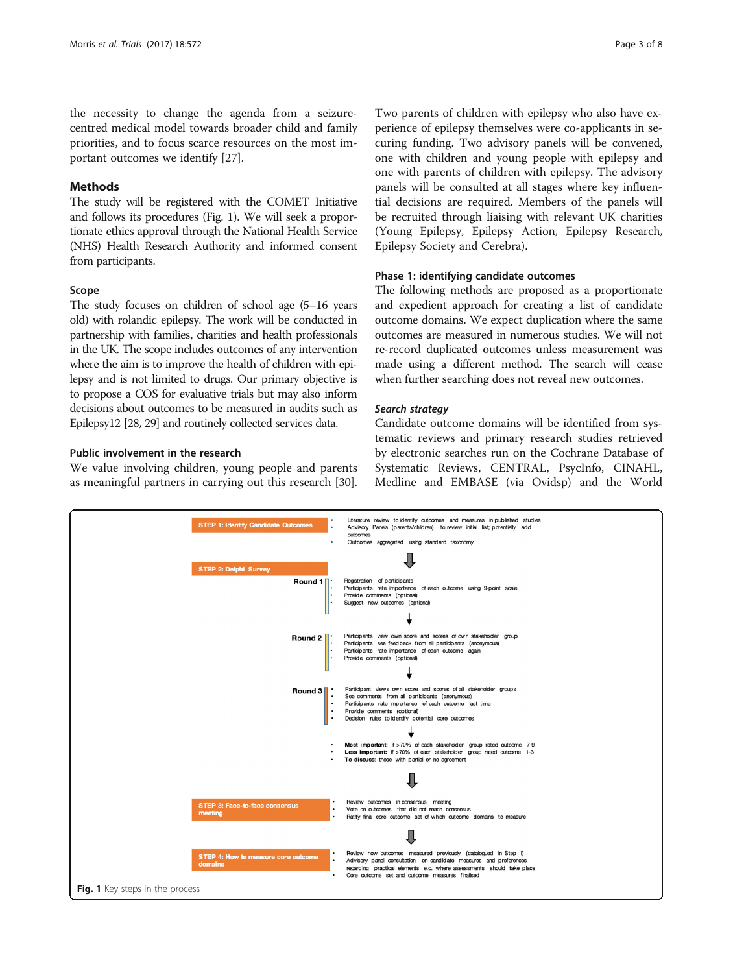the necessity to change the agenda from a seizurecentred medical model towards broader child and family priorities, and to focus scarce resources on the most important outcomes we identify [\[27\]](#page-7-0).

### Methods

The study will be registered with the COMET Initiative and follows its procedures (Fig. 1). We will seek a proportionate ethics approval through the National Health Service (NHS) Health Research Authority and informed consent from participants.

#### Scope

The study focuses on children of school age (5–16 years old) with rolandic epilepsy. The work will be conducted in partnership with families, charities and health professionals in the UK. The scope includes outcomes of any intervention where the aim is to improve the health of children with epilepsy and is not limited to drugs. Our primary objective is to propose a COS for evaluative trials but may also inform decisions about outcomes to be measured in audits such as Epilepsy12 [[28, 29\]](#page-7-0) and routinely collected services data.

#### Public involvement in the research

We value involving children, young people and parents as meaningful partners in carrying out this research [\[30](#page-7-0)]. Two parents of children with epilepsy who also have experience of epilepsy themselves were co-applicants in securing funding. Two advisory panels will be convened, one with children and young people with epilepsy and one with parents of children with epilepsy. The advisory panels will be consulted at all stages where key influential decisions are required. Members of the panels will be recruited through liaising with relevant UK charities (Young Epilepsy, Epilepsy Action, Epilepsy Research,

#### Phase 1: identifying candidate outcomes

Epilepsy Society and Cerebra).

The following methods are proposed as a proportionate and expedient approach for creating a list of candidate outcome domains. We expect duplication where the same outcomes are measured in numerous studies. We will not re-record duplicated outcomes unless measurement was made using a different method. The search will cease when further searching does not reveal new outcomes.

#### Search strategy

Candidate outcome domains will be identified from systematic reviews and primary research studies retrieved by electronic searches run on the Cochrane Database of Systematic Reviews, CENTRAL, PsycInfo, CINAHL, Medline and EMBASE (via Ovidsp) and the World

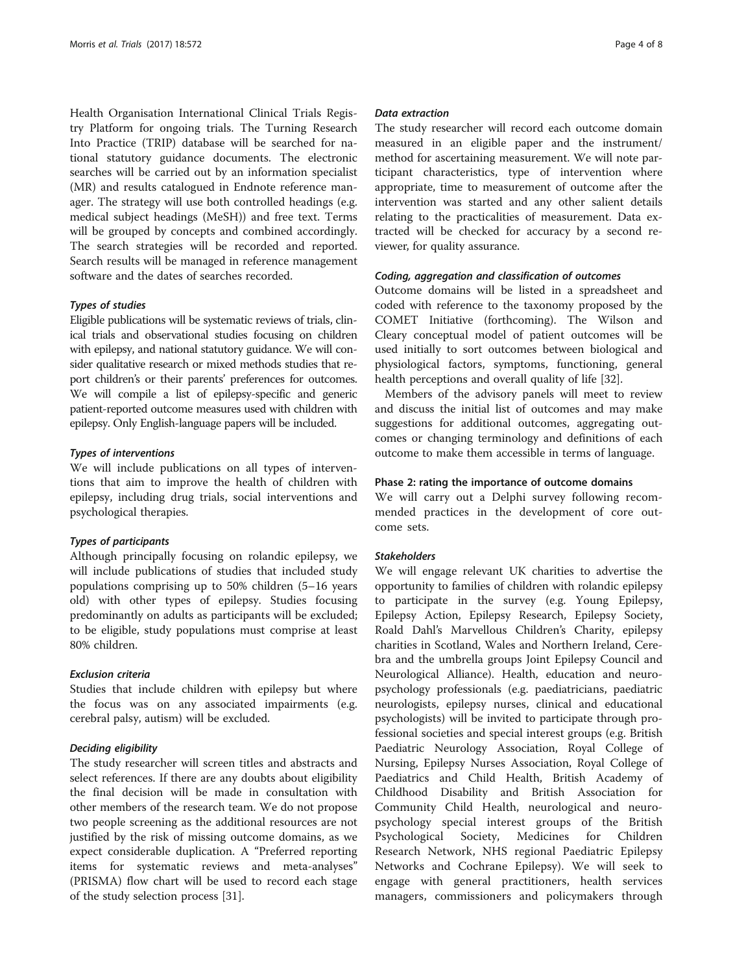Health Organisation International Clinical Trials Registry Platform for ongoing trials. The Turning Research Into Practice (TRIP) database will be searched for national statutory guidance documents. The electronic searches will be carried out by an information specialist (MR) and results catalogued in Endnote reference manager. The strategy will use both controlled headings (e.g. medical subject headings (MeSH)) and free text. Terms will be grouped by concepts and combined accordingly. The search strategies will be recorded and reported. Search results will be managed in reference management software and the dates of searches recorded.

#### Types of studies

Eligible publications will be systematic reviews of trials, clinical trials and observational studies focusing on children with epilepsy, and national statutory guidance. We will consider qualitative research or mixed methods studies that report children's or their parents' preferences for outcomes. We will compile a list of epilepsy-specific and generic patient-reported outcome measures used with children with epilepsy. Only English-language papers will be included.

#### Types of interventions

We will include publications on all types of interventions that aim to improve the health of children with epilepsy, including drug trials, social interventions and psychological therapies.

#### Types of participants

Although principally focusing on rolandic epilepsy, we will include publications of studies that included study populations comprising up to 50% children (5–16 years old) with other types of epilepsy. Studies focusing predominantly on adults as participants will be excluded; to be eligible, study populations must comprise at least 80% children.

#### Exclusion criteria

Studies that include children with epilepsy but where the focus was on any associated impairments (e.g. cerebral palsy, autism) will be excluded.

#### Deciding eligibility

The study researcher will screen titles and abstracts and select references. If there are any doubts about eligibility the final decision will be made in consultation with other members of the research team. We do not propose two people screening as the additional resources are not justified by the risk of missing outcome domains, as we expect considerable duplication. A "Preferred reporting items for systematic reviews and meta-analyses" (PRISMA) flow chart will be used to record each stage of the study selection process [[31](#page-7-0)].

#### Data extraction

The study researcher will record each outcome domain measured in an eligible paper and the instrument/ method for ascertaining measurement. We will note participant characteristics, type of intervention where appropriate, time to measurement of outcome after the intervention was started and any other salient details relating to the practicalities of measurement. Data extracted will be checked for accuracy by a second reviewer, for quality assurance.

## Coding, aggregation and classification of outcomes

Outcome domains will be listed in a spreadsheet and coded with reference to the taxonomy proposed by the COMET Initiative (forthcoming). The Wilson and Cleary conceptual model of patient outcomes will be used initially to sort outcomes between biological and physiological factors, symptoms, functioning, general health perceptions and overall quality of life [\[32\]](#page-7-0).

Members of the advisory panels will meet to review and discuss the initial list of outcomes and may make suggestions for additional outcomes, aggregating outcomes or changing terminology and definitions of each outcome to make them accessible in terms of language.

#### Phase 2: rating the importance of outcome domains

We will carry out a Delphi survey following recommended practices in the development of core outcome sets.

#### **Stakeholders**

We will engage relevant UK charities to advertise the opportunity to families of children with rolandic epilepsy to participate in the survey (e.g. Young Epilepsy, Epilepsy Action, Epilepsy Research, Epilepsy Society, Roald Dahl's Marvellous Children's Charity, epilepsy charities in Scotland, Wales and Northern Ireland, Cerebra and the umbrella groups Joint Epilepsy Council and Neurological Alliance). Health, education and neuropsychology professionals (e.g. paediatricians, paediatric neurologists, epilepsy nurses, clinical and educational psychologists) will be invited to participate through professional societies and special interest groups (e.g. British Paediatric Neurology Association, Royal College of Nursing, Epilepsy Nurses Association, Royal College of Paediatrics and Child Health, British Academy of Childhood Disability and British Association for Community Child Health, neurological and neuropsychology special interest groups of the British Psychological Society, Medicines for Children Research Network, NHS regional Paediatric Epilepsy Networks and Cochrane Epilepsy). We will seek to engage with general practitioners, health services managers, commissioners and policymakers through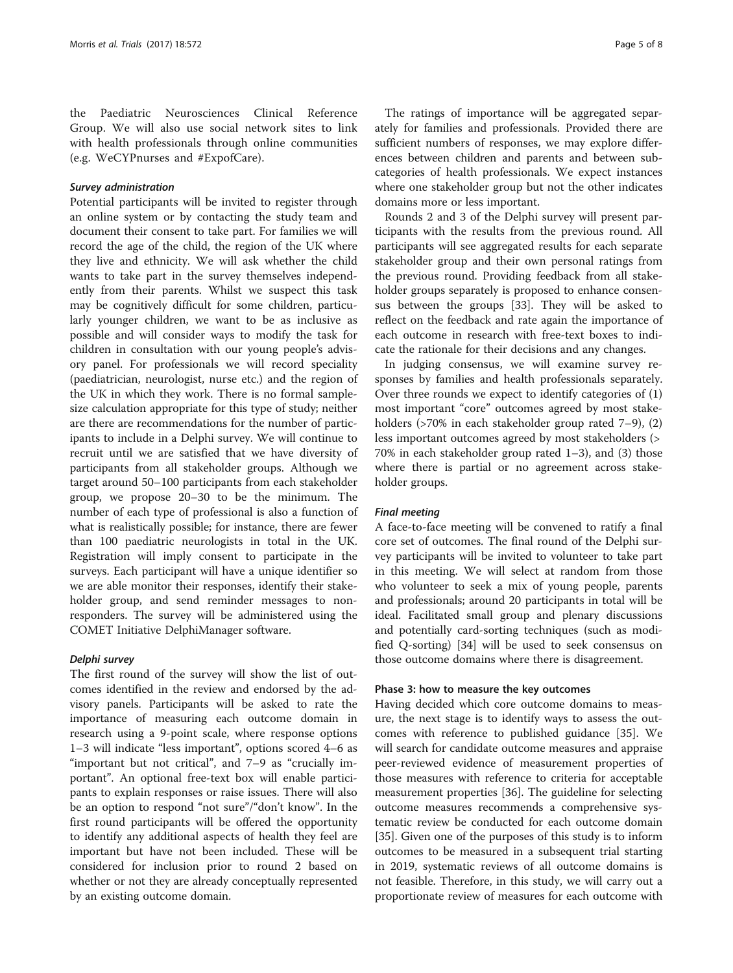the Paediatric Neurosciences Clinical Reference Group. We will also use social network sites to link with health professionals through online communities (e.g. WeCYPnurses and #ExpofCare).

#### Survey administration

Potential participants will be invited to register through an online system or by contacting the study team and document their consent to take part. For families we will record the age of the child, the region of the UK where they live and ethnicity. We will ask whether the child wants to take part in the survey themselves independently from their parents. Whilst we suspect this task may be cognitively difficult for some children, particularly younger children, we want to be as inclusive as possible and will consider ways to modify the task for children in consultation with our young people's advisory panel. For professionals we will record speciality (paediatrician, neurologist, nurse etc.) and the region of the UK in which they work. There is no formal samplesize calculation appropriate for this type of study; neither are there are recommendations for the number of participants to include in a Delphi survey. We will continue to recruit until we are satisfied that we have diversity of participants from all stakeholder groups. Although we target around 50–100 participants from each stakeholder group, we propose 20–30 to be the minimum. The number of each type of professional is also a function of what is realistically possible; for instance, there are fewer than 100 paediatric neurologists in total in the UK. Registration will imply consent to participate in the surveys. Each participant will have a unique identifier so we are able monitor their responses, identify their stakeholder group, and send reminder messages to nonresponders. The survey will be administered using the COMET Initiative DelphiManager software.

#### Delphi survey

The first round of the survey will show the list of outcomes identified in the review and endorsed by the advisory panels. Participants will be asked to rate the importance of measuring each outcome domain in research using a 9-point scale, where response options 1–3 will indicate "less important", options scored 4–6 as "important but not critical", and 7–9 as "crucially important". An optional free-text box will enable participants to explain responses or raise issues. There will also be an option to respond "not sure"/"don't know". In the first round participants will be offered the opportunity to identify any additional aspects of health they feel are important but have not been included. These will be considered for inclusion prior to round 2 based on whether or not they are already conceptually represented by an existing outcome domain.

The ratings of importance will be aggregated separately for families and professionals. Provided there are sufficient numbers of responses, we may explore differences between children and parents and between subcategories of health professionals. We expect instances where one stakeholder group but not the other indicates domains more or less important.

Rounds 2 and 3 of the Delphi survey will present participants with the results from the previous round. All participants will see aggregated results for each separate stakeholder group and their own personal ratings from the previous round. Providing feedback from all stakeholder groups separately is proposed to enhance consensus between the groups [[33](#page-7-0)]. They will be asked to reflect on the feedback and rate again the importance of each outcome in research with free-text boxes to indicate the rationale for their decisions and any changes.

In judging consensus, we will examine survey responses by families and health professionals separately. Over three rounds we expect to identify categories of (1) most important "core" outcomes agreed by most stakeholders (>70% in each stakeholder group rated 7–9), (2) less important outcomes agreed by most stakeholders (> 70% in each stakeholder group rated 1–3), and (3) those where there is partial or no agreement across stakeholder groups.

#### Final meeting

A face-to-face meeting will be convened to ratify a final core set of outcomes. The final round of the Delphi survey participants will be invited to volunteer to take part in this meeting. We will select at random from those who volunteer to seek a mix of young people, parents and professionals; around 20 participants in total will be ideal. Facilitated small group and plenary discussions and potentially card-sorting techniques (such as modified Q-sorting) [[34](#page-7-0)] will be used to seek consensus on those outcome domains where there is disagreement.

#### Phase 3: how to measure the key outcomes

Having decided which core outcome domains to measure, the next stage is to identify ways to assess the outcomes with reference to published guidance [\[35\]](#page-7-0). We will search for candidate outcome measures and appraise peer-reviewed evidence of measurement properties of those measures with reference to criteria for acceptable measurement properties [[36](#page-7-0)]. The guideline for selecting outcome measures recommends a comprehensive systematic review be conducted for each outcome domain [[35\]](#page-7-0). Given one of the purposes of this study is to inform outcomes to be measured in a subsequent trial starting in 2019, systematic reviews of all outcome domains is not feasible. Therefore, in this study, we will carry out a proportionate review of measures for each outcome with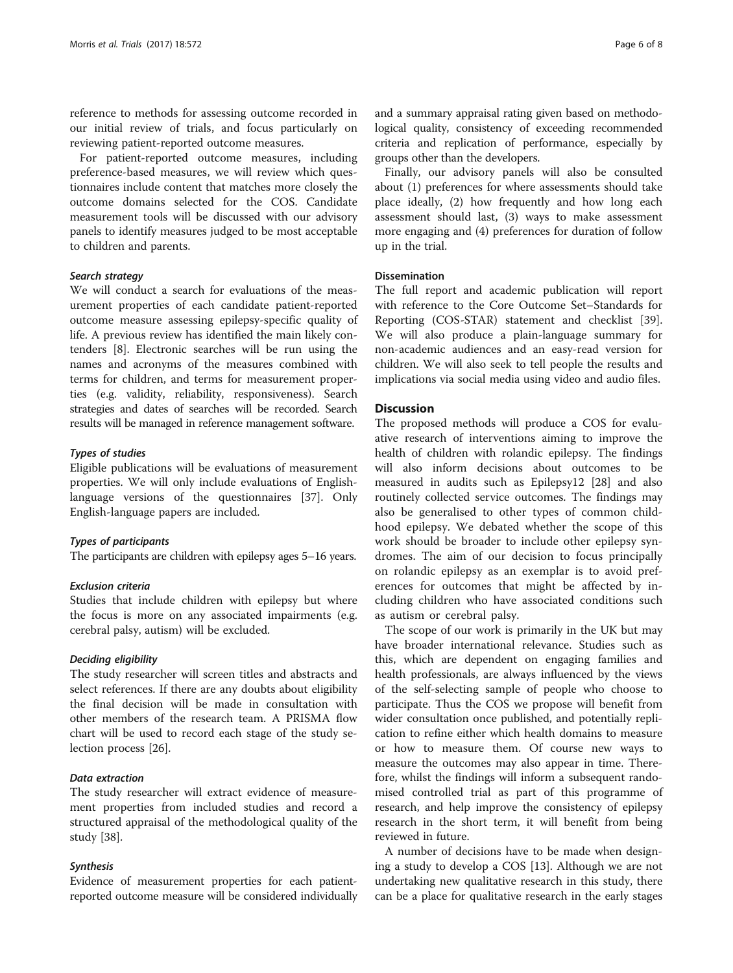reference to methods for assessing outcome recorded in our initial review of trials, and focus particularly on reviewing patient-reported outcome measures.

For patient-reported outcome measures, including preference-based measures, we will review which questionnaires include content that matches more closely the outcome domains selected for the COS. Candidate measurement tools will be discussed with our advisory panels to identify measures judged to be most acceptable to children and parents.

### Search strategy

We will conduct a search for evaluations of the measurement properties of each candidate patient-reported outcome measure assessing epilepsy-specific quality of life. A previous review has identified the main likely contenders [\[8](#page-7-0)]. Electronic searches will be run using the names and acronyms of the measures combined with terms for children, and terms for measurement properties (e.g. validity, reliability, responsiveness). Search strategies and dates of searches will be recorded. Search results will be managed in reference management software.

#### Types of studies

Eligible publications will be evaluations of measurement properties. We will only include evaluations of Englishlanguage versions of the questionnaires [[37](#page-7-0)]. Only English-language papers are included.

#### Types of participants

The participants are children with epilepsy ages 5–16 years.

#### Exclusion criteria

Studies that include children with epilepsy but where the focus is more on any associated impairments (e.g. cerebral palsy, autism) will be excluded.

#### Deciding eligibility

The study researcher will screen titles and abstracts and select references. If there are any doubts about eligibility the final decision will be made in consultation with other members of the research team. A PRISMA flow chart will be used to record each stage of the study selection process [[26\]](#page-7-0).

#### Data extraction

The study researcher will extract evidence of measurement properties from included studies and record a structured appraisal of the methodological quality of the study [[38\]](#page-7-0).

#### Synthesis

Evidence of measurement properties for each patientreported outcome measure will be considered individually

and a summary appraisal rating given based on methodological quality, consistency of exceeding recommended criteria and replication of performance, especially by groups other than the developers.

Finally, our advisory panels will also be consulted about (1) preferences for where assessments should take place ideally, (2) how frequently and how long each assessment should last, (3) ways to make assessment more engaging and (4) preferences for duration of follow up in the trial.

#### Dissemination

The full report and academic publication will report with reference to the Core Outcome Set–Standards for Reporting (COS-STAR) statement and checklist [\[39](#page-7-0)]. We will also produce a plain-language summary for non-academic audiences and an easy-read version for children. We will also seek to tell people the results and implications via social media using video and audio files.

#### **Discussion**

The proposed methods will produce a COS for evaluative research of interventions aiming to improve the health of children with rolandic epilepsy. The findings will also inform decisions about outcomes to be measured in audits such as Epilepsy12 [[28](#page-7-0)] and also routinely collected service outcomes. The findings may also be generalised to other types of common childhood epilepsy. We debated whether the scope of this work should be broader to include other epilepsy syndromes. The aim of our decision to focus principally on rolandic epilepsy as an exemplar is to avoid preferences for outcomes that might be affected by including children who have associated conditions such as autism or cerebral palsy.

The scope of our work is primarily in the UK but may have broader international relevance. Studies such as this, which are dependent on engaging families and health professionals, are always influenced by the views of the self-selecting sample of people who choose to participate. Thus the COS we propose will benefit from wider consultation once published, and potentially replication to refine either which health domains to measure or how to measure them. Of course new ways to measure the outcomes may also appear in time. Therefore, whilst the findings will inform a subsequent randomised controlled trial as part of this programme of research, and help improve the consistency of epilepsy research in the short term, it will benefit from being reviewed in future.

A number of decisions have to be made when designing a study to develop a COS [\[13\]](#page-7-0). Although we are not undertaking new qualitative research in this study, there can be a place for qualitative research in the early stages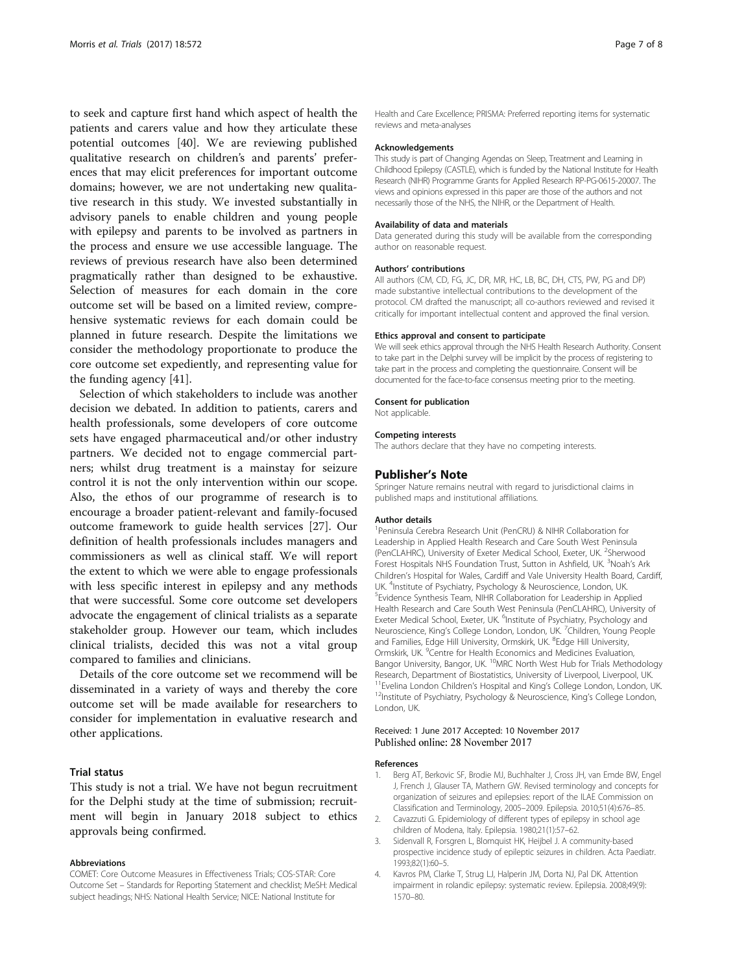<span id="page-6-0"></span>to seek and capture first hand which aspect of health the patients and carers value and how they articulate these potential outcomes [[40\]](#page-7-0). We are reviewing published qualitative research on children's and parents' preferences that may elicit preferences for important outcome domains; however, we are not undertaking new qualitative research in this study. We invested substantially in advisory panels to enable children and young people with epilepsy and parents to be involved as partners in the process and ensure we use accessible language. The reviews of previous research have also been determined pragmatically rather than designed to be exhaustive. Selection of measures for each domain in the core outcome set will be based on a limited review, comprehensive systematic reviews for each domain could be planned in future research. Despite the limitations we consider the methodology proportionate to produce the core outcome set expediently, and representing value for the funding agency [[41\]](#page-7-0).

Selection of which stakeholders to include was another decision we debated. In addition to patients, carers and health professionals, some developers of core outcome sets have engaged pharmaceutical and/or other industry partners. We decided not to engage commercial partners; whilst drug treatment is a mainstay for seizure control it is not the only intervention within our scope. Also, the ethos of our programme of research is to encourage a broader patient-relevant and family-focused outcome framework to guide health services [\[27\]](#page-7-0). Our definition of health professionals includes managers and commissioners as well as clinical staff. We will report the extent to which we were able to engage professionals with less specific interest in epilepsy and any methods that were successful. Some core outcome set developers advocate the engagement of clinical trialists as a separate stakeholder group. However our team, which includes clinical trialists, decided this was not a vital group compared to families and clinicians.

Details of the core outcome set we recommend will be disseminated in a variety of ways and thereby the core outcome set will be made available for researchers to consider for implementation in evaluative research and other applications.

#### Trial status

This study is not a trial. We have not begun recruitment for the Delphi study at the time of submission; recruitment will begin in January 2018 subject to ethics approvals being confirmed.

#### Abbreviations

COMET: Core Outcome Measures in Effectiveness Trials; COS-STAR: Core Outcome Set – Standards for Reporting Statement and checklist; MeSH: Medical subject headings; NHS: National Health Service; NICE: National Institute for

Health and Care Excellence; PRISMA: Preferred reporting items for systematic reviews and meta-analyses

#### Acknowledgements

This study is part of Changing Agendas on Sleep, Treatment and Learning in Childhood Epilepsy (CASTLE), which is funded by the National Institute for Health Research (NIHR) Programme Grants for Applied Research RP-PG-0615-20007. The views and opinions expressed in this paper are those of the authors and not necessarily those of the NHS, the NIHR, or the Department of Health.

#### Availability of data and materials

Data generated during this study will be available from the corresponding author on reasonable request.

#### Authors' contributions

All authors (CM, CD, FG, JC, DR, MR, HC, LB, BC, DH, CTS, PW, PG and DP) made substantive intellectual contributions to the development of the protocol. CM drafted the manuscript; all co-authors reviewed and revised it critically for important intellectual content and approved the final version.

#### Ethics approval and consent to participate

We will seek ethics approval through the NHS Health Research Authority. Consent to take part in the Delphi survey will be implicit by the process of registering to take part in the process and completing the questionnaire. Consent will be documented for the face-to-face consensus meeting prior to the meeting.

#### Consent for publication

Not applicable.

#### Competing interests

The authors declare that they have no competing interests.

#### Publisher's Note

Springer Nature remains neutral with regard to jurisdictional claims in published maps and institutional affiliations.

#### Author details

1 Peninsula Cerebra Research Unit (PenCRU) & NIHR Collaboration for Leadership in Applied Health Research and Care South West Peninsula (PenCLAHRC), University of Exeter Medical School, Exeter, UK. <sup>2</sup>Sherwood Forest Hospitals NHS Foundation Trust, Sutton in Ashfield, UK. <sup>3</sup>Noah's Ark Children's Hospital for Wales, Cardiff and Vale University Health Board, Cardiff, UK. <sup>4</sup>Institute of Psychiatry, Psychology & Neuroscience, London, UK.<br><sup>5</sup>Evidance Synthesis Team, NIHP Collaboration for Loadership in Apr <sup>5</sup>Evidence Synthesis Team, NIHR Collaboration for Leadership in Applied Health Research and Care South West Peninsula (PenCLAHRC), University of Exeter Medical School, Exeter, UK. <sup>6</sup>Institute of Psychiatry, Psychology and Neuroscience, King's College London, London, UK. <sup>7</sup>Children, Young People and Families, Edge Hill University, Ormskirk, UK. <sup>8</sup>Edge Hill University, Ormskirk, UK. <sup>9</sup>Centre for Health Economics and Medicines Evaluation, Bangor University, Bangor, UK. 10MRC North West Hub for Trials Methodology Research, Department of Biostatistics, University of Liverpool, Liverpool, UK. <sup>11</sup>Evelina London Children's Hospital and King's College London, London, UK.<br><sup>12</sup>Institute of Psychiatry, Psychology & Neuroscience, King's College London, London, UK.

#### Received: 1 June 2017 Accepted: 10 November 2017 Published online: 28 November 2017

#### References

- Berg AT, Berkovic SF, Brodie MJ, Buchhalter J, Cross JH, van Emde BW, Engel J, French J, Glauser TA, Mathern GW. Revised terminology and concepts for organization of seizures and epilepsies: report of the ILAE Commission on Classification and Terminology, 2005–2009. Epilepsia. 2010;51(4):676–85.
- 2. Cavazzuti G. Epidemiology of different types of epilepsy in school age children of Modena, Italy. Epilepsia. 1980;21(1):57–62.
- 3. Sidenvall R, Forsgren L, Blomquist HK, Heijbel J. A community-based prospective incidence study of epileptic seizures in children. Acta Paediatr. 1993;82(1):60–5.
- 4. Kavros PM, Clarke T, Strug LJ, Halperin JM, Dorta NJ, Pal DK. Attention impairment in rolandic epilepsy: systematic review. Epilepsia. 2008;49(9): 1570–80.